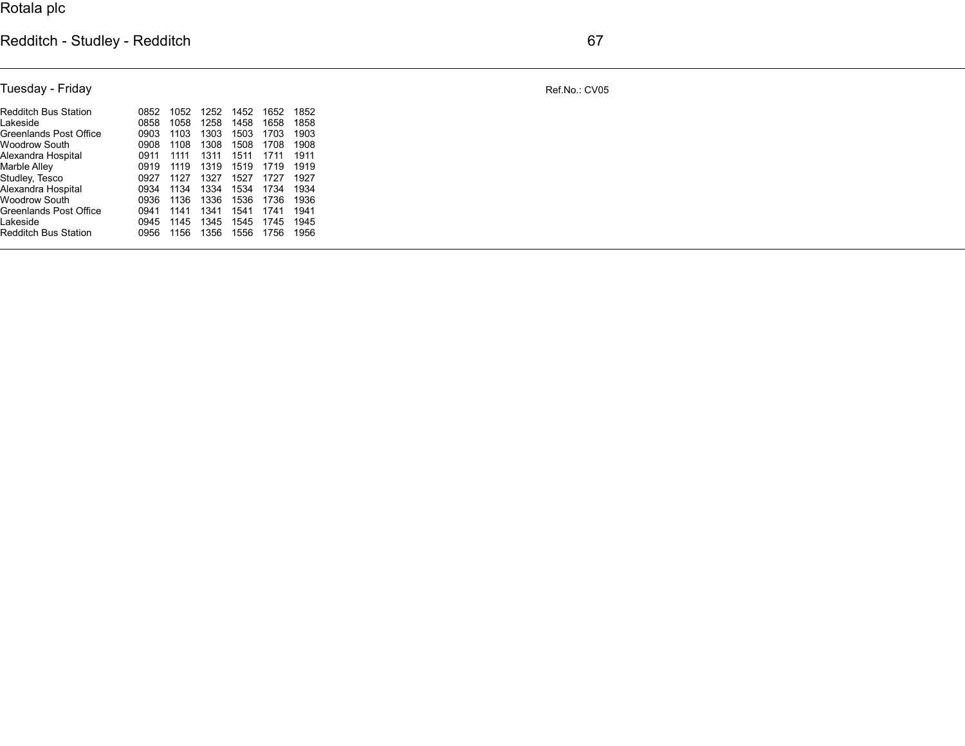## Redditch - Studley - Redditch 67

Tuesday - Friday Ref.No.: CV05

| Redditch Bus Station        | 0852 | 1052 | 1252 | 1452 | 1652 | 1852 |  |
|-----------------------------|------|------|------|------|------|------|--|
| Lakeside                    | 0858 | 1058 | 1258 | 1458 | 1658 | 1858 |  |
| Greenlands Post Office      | 0903 | 1103 | 1303 | 1503 | 1703 | 1903 |  |
| Woodrow South               | 0908 | 1108 | 1308 | 1508 | 1708 | 1908 |  |
| Alexandra Hospital          | 0911 | 1111 | 1311 | 1511 | 1711 | 1911 |  |
| Marble Alley                | 0919 | 1119 | 1319 | 1519 | 1719 | 1919 |  |
| Studley, Tesco              | 0927 | 1127 | 1327 | 1527 | 1727 | 1927 |  |
| Alexandra Hospital          | 0934 | 1134 | 1334 | 1534 | 1734 | 1934 |  |
| Woodrow South               | 0936 | 1136 | 1336 | 1536 | 1736 | 1936 |  |
| Greenlands Post Office      | 0941 | 1141 | 1341 | 1541 | 1741 | 1941 |  |
| Lakeside                    | 0945 | 1145 | 1345 | 1545 | 1745 | 1945 |  |
| <b>Redditch Bus Station</b> | 0956 | 1156 | 1356 | 1556 | 1756 | 1956 |  |
|                             |      |      |      |      |      |      |  |